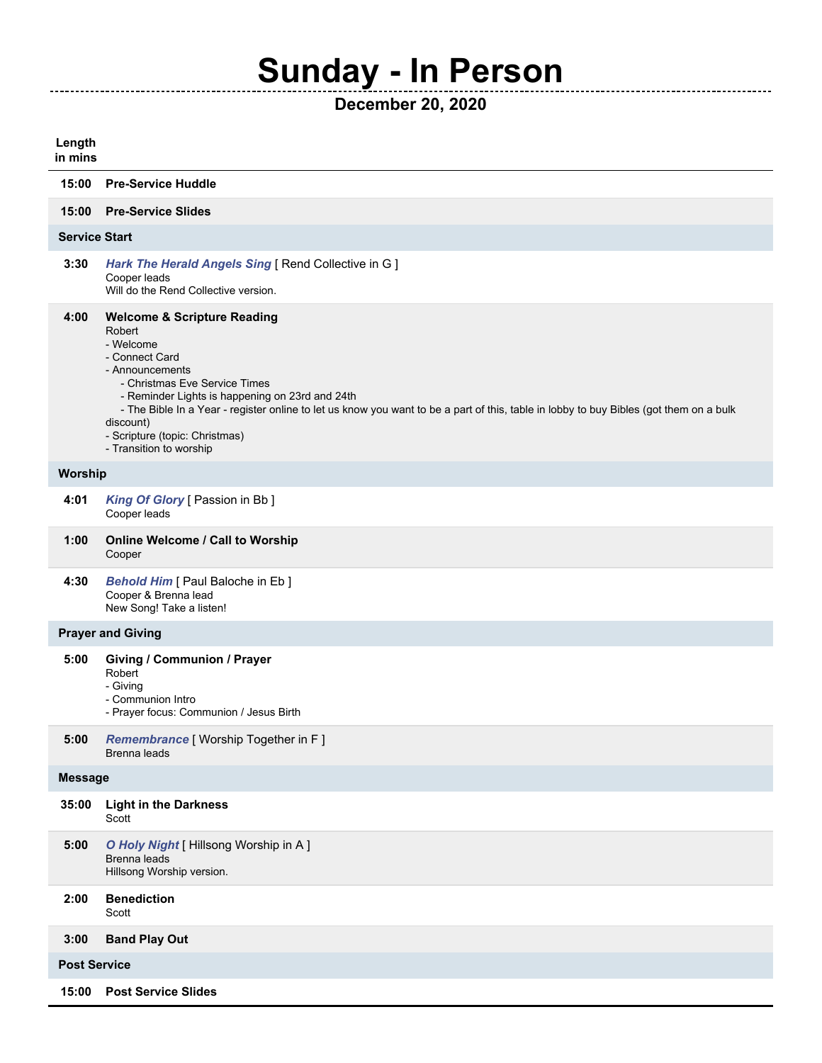## **Sunday - In Person**

**December 20, 2020**

| Length<br>in mins        |                                                                                                                                                                                                                                                                                                                                                                                                            |  |  |
|--------------------------|------------------------------------------------------------------------------------------------------------------------------------------------------------------------------------------------------------------------------------------------------------------------------------------------------------------------------------------------------------------------------------------------------------|--|--|
| 15:00                    | <b>Pre-Service Huddle</b>                                                                                                                                                                                                                                                                                                                                                                                  |  |  |
| 15:00                    | <b>Pre-Service Slides</b>                                                                                                                                                                                                                                                                                                                                                                                  |  |  |
| <b>Service Start</b>     |                                                                                                                                                                                                                                                                                                                                                                                                            |  |  |
| 3:30                     | Hark The Herald Angels Sing [ Rend Collective in G ]<br>Cooper leads<br>Will do the Rend Collective version.                                                                                                                                                                                                                                                                                               |  |  |
| 4:00                     | <b>Welcome &amp; Scripture Reading</b><br>Robert<br>- Welcome<br>- Connect Card<br>- Announcements<br>- Christmas Eve Service Times<br>- Reminder Lights is happening on 23rd and 24th<br>- The Bible In a Year - register online to let us know you want to be a part of this, table in lobby to buy Bibles (got them on a bulk<br>discount)<br>- Scripture (topic: Christmas)<br>- Transition to worship |  |  |
| Worship                  |                                                                                                                                                                                                                                                                                                                                                                                                            |  |  |
| 4:01                     | King Of Glory [ Passion in Bb ]<br>Cooper leads                                                                                                                                                                                                                                                                                                                                                            |  |  |
| 1:00                     | <b>Online Welcome / Call to Worship</b><br>Cooper                                                                                                                                                                                                                                                                                                                                                          |  |  |
| 4:30                     | <b>Behold Him</b> [ Paul Baloche in Eb ]<br>Cooper & Brenna lead<br>New Song! Take a listen!                                                                                                                                                                                                                                                                                                               |  |  |
| <b>Prayer and Giving</b> |                                                                                                                                                                                                                                                                                                                                                                                                            |  |  |
| 5:00                     | <b>Giving / Communion / Prayer</b><br>Robert<br>- Giving<br>- Communion Intro<br>- Prayer focus: Communion / Jesus Birth                                                                                                                                                                                                                                                                                   |  |  |
| 5:00                     | Remembrance [ Worship Together in F ]<br>Brenna leads                                                                                                                                                                                                                                                                                                                                                      |  |  |
| <b>Message</b>           |                                                                                                                                                                                                                                                                                                                                                                                                            |  |  |
| 35:00                    | <b>Light in the Darkness</b><br>Scott                                                                                                                                                                                                                                                                                                                                                                      |  |  |
| 5:00                     | O Holy Night [ Hillsong Worship in A ]<br>Brenna leads<br>Hillsong Worship version.                                                                                                                                                                                                                                                                                                                        |  |  |
| 2:00                     | <b>Benediction</b><br>Scott                                                                                                                                                                                                                                                                                                                                                                                |  |  |
| 3:00                     | <b>Band Play Out</b>                                                                                                                                                                                                                                                                                                                                                                                       |  |  |
| <b>Post Service</b>      |                                                                                                                                                                                                                                                                                                                                                                                                            |  |  |
| 15:00                    | <b>Post Service Slides</b>                                                                                                                                                                                                                                                                                                                                                                                 |  |  |